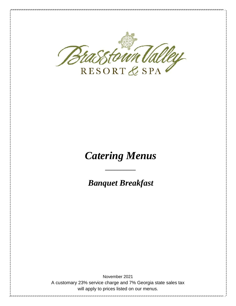

# *Catering Menus*

*Banquet Breakfast*

*\_\_\_\_\_\_\_\_\_\_*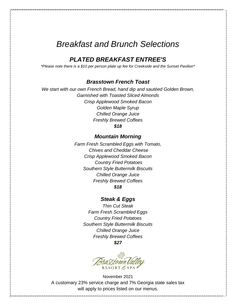## *Breakfast and Brunch Selections*

## *PLATED BREAKFAST ENTREE'S*

*\*Please note there is a \$10 per person plate up fee for Creekside and the Sunset Pavilion\**

### *Brasstown French Toast*

*We start with our own French Bread, hand dip and sautéed Golden Brown, Garnished with Toasted Sliced Almonds Crisp Applewood Smoked Bacon Golden Maple Syrup Chilled Orange Juice Freshly Brewed Coffees \$18*

## *Mountain Morning*

*Farm Fresh Scrambled Eggs with Tomato, Chives and Cheddar Cheese Crisp Applewood Smoked Bacon Country Fried Potatoes Southern Style Buttermilk Biscuits Chilled Orange Juice Freshly Brewed Coffees \$18*

## *Steak & Eggs*

*Thin Cut Steak Farm Fresh Scrambled Eggs Country Fried Potatoes Southern Style Buttermilk Biscuits Chilled Orange Juice Freshly Brewed Coffees \$27*

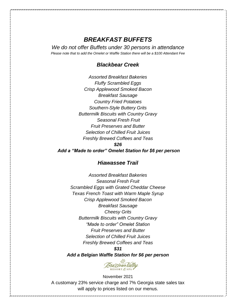## *BREAKFAST BUFFETS*

*We do not offer Buffets under 30 persons in attendance Please note that to add the Omelet or Waffle Station there will be a \$100 Attendant Fee*

## *Blackbear Creek*

*Assorted Breakfast Bakeries Fluffy Scrambled Eggs Crisp Applewood Smoked Bacon Breakfast Sausage Country Fried Potatoes Southern-Style Buttery Grits Buttermilk Biscuits with Country Gravy Seasonal Fresh Fruit Fruit Preserves and Butter Selection of Chilled Fruit Juices Freshly Brewed Coffees and Teas \$26*

*Add a "Made to order" Omelet Station for \$6 per person*

## *Hiawassee Trail*

*Assorted Breakfast Bakeries Seasonal Fresh Fruit Scrambled Eggs with Grated Cheddar Cheese Texas French Toast with Warm Maple Syrup Crisp Applewood Smoked Bacon Breakfast Sausage Cheesy Grits Buttermilk Biscuits with Country Gravy "Made to order" Omelet Station Fruit Preserves and Butter Selection of Chilled Fruit Juices Freshly Brewed Coffees and Teas \$31*

*Add a Belgian Waffle Station for \$6 per person*